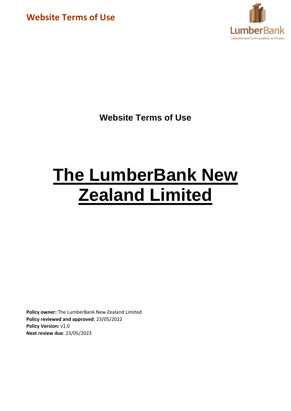

**Website Terms of Use**

# **The LumberBank New Zealand Limited**

**Policy owner:** The LumberBank New Zealand Limited **Policy reviewed and approved**: 23/05/2022 **Policy Version: v1.0 Next review due**: 23/05/2023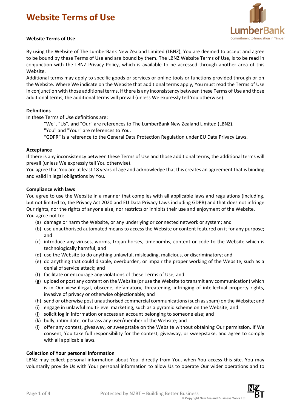

#### **Website Terms of Use**

By using the Website of The LumberBank New Zealand Limited (LBNZ), You are deemed to accept and agree to be bound by these Terms of Use and are bound by them. The LBNZ Website Terms of Use, is to be read in conjunction with the LBNZ Privacy Policy, which is available to be accessed through another area of this Website.

Additional terms may apply to specific goods or services or online tools or functions provided through or on the Website. Where We indicate on the Website that additional terms apply, You must read the Terms of Use in conjunction with those additional terms. If there is any inconsistency between these Terms of Use and those additional terms, the additional terms will prevail (unless We expressly tell You otherwise).

## **Definitions**

In these Terms of Use definitions are:

"We", "Us", and "Our" are references to The LumberBank New Zealand Limited (LBNZ). "You" and "Your" are references to You.

"GDPR" is a reference to the General Data Protection Regulation under EU Data Privacy Laws.

#### **Acceptance**

If there is any inconsistency between these Terms of Use and those additional terms, the additional terms will prevail (unless We expressly tell You otherwise).

You agree that You are at least 18 years of age and acknowledge that this creates an agreement that is binding and valid in legal obligations by You.

#### **Compliance with laws**

You agree to use the Website in a manner that complies with all applicable laws and regulations (including, but not limited to, the Privacy Act 2020 and EU Data Privacy Laws including GDPR) and that does not infringe Our rights, nor the rights of anyone else, nor restricts or inhibits their use and enjoyment of the Website. You agree not to:

- (a) damage or harm the Website, or any underlying or connected network or system; and
- (b) use unauthorised automated means to access the Website or content featured on it for any purpose; and
- (c) introduce any viruses, worms, trojan horses, timebombs, content or code to the Website which is technologically harmful; and
- (d) use the Website to do anything unlawful, misleading, malicious, or discriminatory; and
- (e) do anything that could disable, overburden, or impair the proper working of the Website, such as a denial of service attack; and
- (f) facilitate or encourage any violations of these Terms of Use; and
- (g) upload or post any content on the Website (or use the Website to transmit any communication) which is in Our view illegal, obscene, defamatory, threatening, infringing of intellectual property rights, invasive of privacy or otherwise objectionable; and
- (h) send or otherwise post unauthorised commercial communications (such as spam) on the Website; and
- (i) engage in unlawful multi-level marketing, such as a pyramid scheme on the Website; and
- (j) solicit log in information or access an account belonging to someone else; and
- (k) bully, intimidate, or harass any user/member of the Website; and
- (l) offer any contest, giveaway, or sweepstake on the Website without obtaining Our permission. If We consent, You take full responsibility for the contest, giveaway, or sweepstake, and agree to comply with all applicable laws.

#### **Collection of Your personal information**

LBNZ may collect personal information about You, directly from You, when You access this site. You may voluntarily provide Us with Your personal information to allow Us to operate Our wider operations and to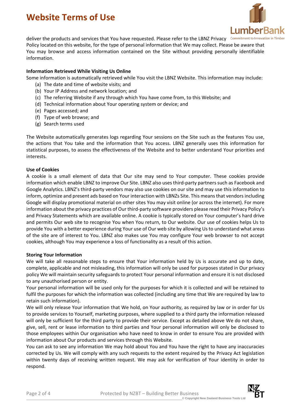

deliver the products and services that You have requested. Please refer to the LBNZ Privacy Commitment to Innovation in Tii Policy located on this website, for the type of personal information that We may collect. Please be aware that You may browse and access information contained on the Site without providing personally identifiable information.

## **Information Retrieved While Visiting Us Online**

Some information is automatically retrieved while You visit the LBNZ Website. This information may include:

- (a) The date and time of website visits; and
- (b) Your IP Address and network location; and
- (c) The referring Website if any through which You have come from, to this Website; and
- (d) Technical information about Your operating system or device; and
- (e) Pages accessed; and
- (f) Type of web browse; and
- (g) Search terms used

The Website automatically generates logs regarding Your sessions on the Site such as the features You use, the actions that You take and the information that You access. LBNZ generally uses this information for statistical purposes, to assess the effectiveness of the Website and to better understand Your priorities and interests.

#### **Use of Cookies**

A cookie is a small element of data that Our site may send to Your computer. These cookies provide information which enable LBNZ to improve Our Site. LBNZ also uses third-party partners such as Facebook and Google Analytics. LBNZ's third-party vendors may also use cookies on our site and may use this information to inform, optimize and present ads based on Your interaction with LBNZs Site. This means that vendors including Google will display promotional material on other sites You may visit online (or across the internet). For more information about the privacy practices of Our third-party software providers please read their Privacy Policy's and Privacy Statements which are available online. A cookie is typically stored on Your computer's hard drive and permits Our web site to recognise You when You return, to Our website. Our use of cookies helps Us to provide You with a better experience during Your use of Our web site by allowing Usto understand what areas of the site are of interest to You. LBNZ also makes use You may configure Your web browser to not accept cookies, although You may experience a loss of functionality as a result of this action.

#### **Storing Your Information**

We will take all reasonable steps to ensure that Your information held by Us is accurate and up to date, complete, applicable and not misleading, this information will only be used for purposes stated in Our privacy policy We will maintain security safeguards to protect Your personal information and ensure it is not disclosed to any unauthorised person or entity.

Your personal information will be used only for the purposes for which it is collected and will be retained to fulfil the purposes for which the information was collected (including any time that We are required by law to retain such information).

We will only release Your information that We hold, on Your authority, as required by law or in order for Us to provide services to Yourself, marketing purposes, where supplied to a third party the information released will only be sufficient for the third party to provide their service. Except as detailed above We do not share, give, sell, rent or lease information to third parties and Your personal information will only be disclosed to those employees within Our organisation who have need to know in order to ensure You are provided with information about Our products and services through this Website.

You can ask to see any information We may hold about You and You have the right to have any inaccuracies corrected by Us. We will comply with any such requests to the extent required by the Privacy Act legislation within twenty days of receiving written request. We may ask for verification of Your identity in order to respond.

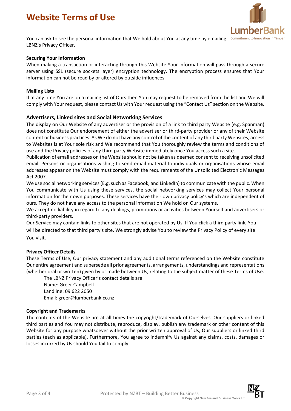

You can ask to see the personal information that We hold about You at any time by emailing Commitment to Innovation in Timbe LBNZ's Privacy Officer.

## **Securing Your Information**

When making a transaction or interacting through this Website Your information will pass through a secure server using SSL (secure sockets layer) encryption technology. The encryption process ensures that Your information can not be read by or altered by outside influences.

#### **Mailing Lists**

If at any time You are on a mailing list of Ours then You may request to be removed from the list and We will comply with Your request, please contact Us with Your request using the "Contact Us" section on the Website.

## **Advertisers, Linked sites and Social Networking Services**

The display on Our Website of any advertiser or the provision of a link to third party Website (e.g. Spanman) does not constitute Our endorsement of either the advertiser or third-party provider or any of their Website content or business practices. As We do not have any control of the content of any third party Websites, access to Websites is at Your sole risk and We recommend that You thoroughly review the terms and conditions of use and the Privacy policies of any third party Website immediately once You access such a site.

Publication of email addresses on the Website should not be taken as deemed consent to receiving unsolicited email. Persons or organisations wishing to send email material to individuals or organisations whose email addresses appear on the Website must comply with the requirements of the Unsolicited Electronic Messages Act 2007.

We use social networking services (E.g. such as Facebook, and LinkedIn) to communicate with the public. When You communicate with Us using these services, the social networking services may collect Your personal information for their own purposes. These services have their own privacy policy's which are independent of ours. They do not have any access to the personal information We hold on Our systems.

We accept no liability in regard to any dealings, promotions or activities between Yourself and advertisers or third-party providers.

Our Service may contain links to other sites that are not operated by Us. If You click a third party link, You will be directed to that third party's site. We strongly advise You to review the Privacy Policy of every site You visit.

#### **Privacy Officer Details**

These Terms of Use, Our privacy statement and any additional terms referenced on the Website constitute Our entire agreement and supersede all prior agreements, arrangements, understandings and representations (whether oral or written) given by or made between Us, relating to the subject matter of these Terms of Use.

The LBNZ Privacy Officer's contact details are: Name: Greer Campbell Landline: 09 622 2050 Email: greer@lumberbank.co.nz

#### **Copyright and Trademarks**

The contents of the Website are at all times the copyright/trademark of Ourselves, Our suppliers or linked third parties and You may not distribute, reproduce, display, publish any trademark or other content of this Website for any purpose whatsoever without the prior written approval of Us, Our suppliers or linked third parties (each as applicable). Furthermore, You agree to indemnify Us against any claims, costs, damages or losses incurred by Us should You fail to comply.